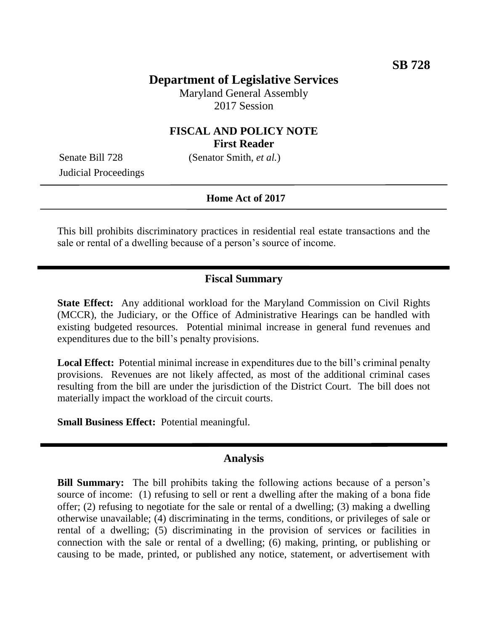## **Department of Legislative Services**

Maryland General Assembly 2017 Session

## **FISCAL AND POLICY NOTE First Reader**

Judicial Proceedings

Senate Bill 728 (Senator Smith, *et al.*)

#### **Home Act of 2017**

This bill prohibits discriminatory practices in residential real estate transactions and the sale or rental of a dwelling because of a person's source of income.

### **Fiscal Summary**

**State Effect:** Any additional workload for the Maryland Commission on Civil Rights (MCCR), the Judiciary, or the Office of Administrative Hearings can be handled with existing budgeted resources. Potential minimal increase in general fund revenues and expenditures due to the bill's penalty provisions.

**Local Effect:** Potential minimal increase in expenditures due to the bill's criminal penalty provisions. Revenues are not likely affected, as most of the additional criminal cases resulting from the bill are under the jurisdiction of the District Court. The bill does not materially impact the workload of the circuit courts.

**Small Business Effect:** Potential meaningful.

#### **Analysis**

**Bill Summary:** The bill prohibits taking the following actions because of a person's source of income: (1) refusing to sell or rent a dwelling after the making of a bona fide offer; (2) refusing to negotiate for the sale or rental of a dwelling; (3) making a dwelling otherwise unavailable; (4) discriminating in the terms, conditions, or privileges of sale or rental of a dwelling; (5) discriminating in the provision of services or facilities in connection with the sale or rental of a dwelling; (6) making, printing, or publishing or causing to be made, printed, or published any notice, statement, or advertisement with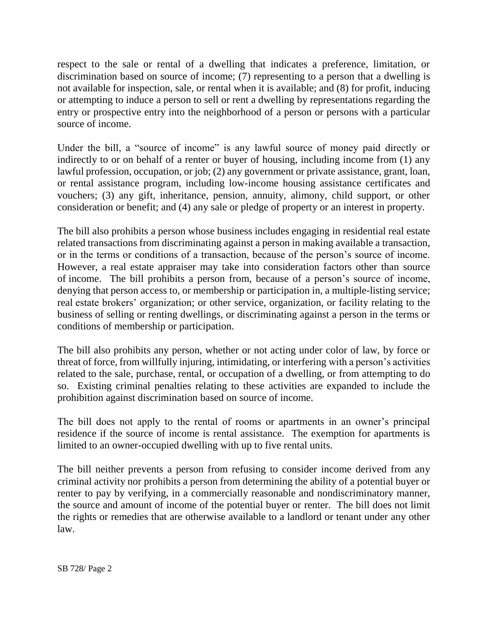respect to the sale or rental of a dwelling that indicates a preference, limitation, or discrimination based on source of income; (7) representing to a person that a dwelling is not available for inspection, sale, or rental when it is available; and (8) for profit, inducing or attempting to induce a person to sell or rent a dwelling by representations regarding the entry or prospective entry into the neighborhood of a person or persons with a particular source of income.

Under the bill, a "source of income" is any lawful source of money paid directly or indirectly to or on behalf of a renter or buyer of housing, including income from (1) any lawful profession, occupation, or job; (2) any government or private assistance, grant, loan, or rental assistance program, including low-income housing assistance certificates and vouchers; (3) any gift, inheritance, pension, annuity, alimony, child support, or other consideration or benefit; and (4) any sale or pledge of property or an interest in property.

The bill also prohibits a person whose business includes engaging in residential real estate related transactions from discriminating against a person in making available a transaction, or in the terms or conditions of a transaction, because of the person's source of income. However, a real estate appraiser may take into consideration factors other than source of income. The bill prohibits a person from, because of a person's source of income, denying that person access to, or membership or participation in, a multiple-listing service; real estate brokers' organization; or other service, organization, or facility relating to the business of selling or renting dwellings, or discriminating against a person in the terms or conditions of membership or participation.

The bill also prohibits any person, whether or not acting under color of law, by force or threat of force, from willfully injuring, intimidating, or interfering with a person's activities related to the sale, purchase, rental, or occupation of a dwelling, or from attempting to do so. Existing criminal penalties relating to these activities are expanded to include the prohibition against discrimination based on source of income.

The bill does not apply to the rental of rooms or apartments in an owner's principal residence if the source of income is rental assistance. The exemption for apartments is limited to an owner-occupied dwelling with up to five rental units.

The bill neither prevents a person from refusing to consider income derived from any criminal activity nor prohibits a person from determining the ability of a potential buyer or renter to pay by verifying, in a commercially reasonable and nondiscriminatory manner, the source and amount of income of the potential buyer or renter. The bill does not limit the rights or remedies that are otherwise available to a landlord or tenant under any other law.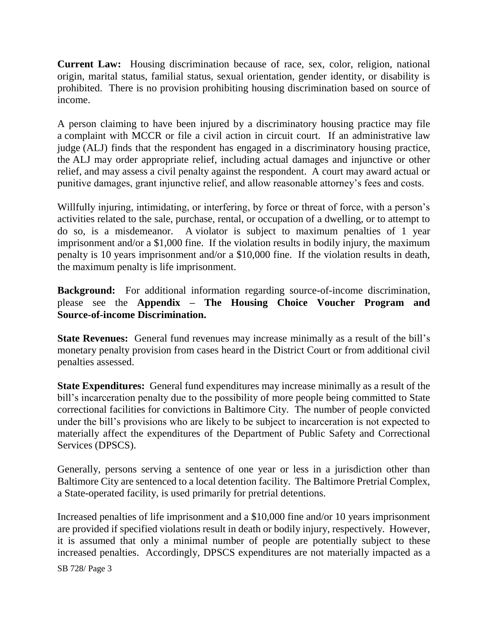**Current Law:** Housing discrimination because of race, sex, color, religion, national origin, marital status, familial status, sexual orientation, gender identity, or disability is prohibited. There is no provision prohibiting housing discrimination based on source of income.

A person claiming to have been injured by a discriminatory housing practice may file a complaint with MCCR or file a civil action in circuit court. If an administrative law judge (ALJ) finds that the respondent has engaged in a discriminatory housing practice, the ALJ may order appropriate relief, including actual damages and injunctive or other relief, and may assess a civil penalty against the respondent. A court may award actual or punitive damages, grant injunctive relief, and allow reasonable attorney's fees and costs.

Willfully injuring, intimidating, or interfering, by force or threat of force, with a person's activities related to the sale, purchase, rental, or occupation of a dwelling, or to attempt to do so, is a misdemeanor. A violator is subject to maximum penalties of 1 year imprisonment and/or a \$1,000 fine. If the violation results in bodily injury, the maximum penalty is 10 years imprisonment and/or a \$10,000 fine. If the violation results in death, the maximum penalty is life imprisonment.

**Background:** For additional information regarding source-of-income discrimination, please see the **Appendix – The Housing Choice Voucher Program and Source-of-income Discrimination.**

**State Revenues:** General fund revenues may increase minimally as a result of the bill's monetary penalty provision from cases heard in the District Court or from additional civil penalties assessed.

**State Expenditures:** General fund expenditures may increase minimally as a result of the bill's incarceration penalty due to the possibility of more people being committed to State correctional facilities for convictions in Baltimore City. The number of people convicted under the bill's provisions who are likely to be subject to incarceration is not expected to materially affect the expenditures of the Department of Public Safety and Correctional Services (DPSCS).

Generally, persons serving a sentence of one year or less in a jurisdiction other than Baltimore City are sentenced to a local detention facility. The Baltimore Pretrial Complex, a State-operated facility, is used primarily for pretrial detentions.

Increased penalties of life imprisonment and a \$10,000 fine and/or 10 years imprisonment are provided if specified violations result in death or bodily injury, respectively. However, it is assumed that only a minimal number of people are potentially subject to these increased penalties. Accordingly, DPSCS expenditures are not materially impacted as a

SB 728/ Page 3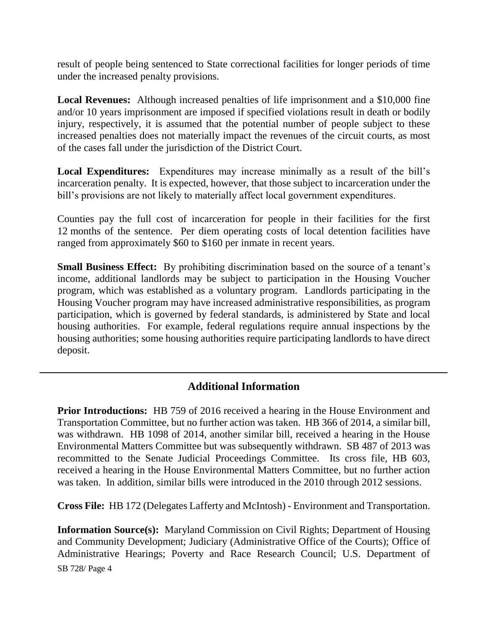result of people being sentenced to State correctional facilities for longer periods of time under the increased penalty provisions.

**Local Revenues:** Although increased penalties of life imprisonment and a \$10,000 fine and/or 10 years imprisonment are imposed if specified violations result in death or bodily injury, respectively, it is assumed that the potential number of people subject to these increased penalties does not materially impact the revenues of the circuit courts, as most of the cases fall under the jurisdiction of the District Court.

**Local Expenditures:** Expenditures may increase minimally as a result of the bill's incarceration penalty. It is expected, however, that those subject to incarceration under the bill's provisions are not likely to materially affect local government expenditures.

Counties pay the full cost of incarceration for people in their facilities for the first 12 months of the sentence. Per diem operating costs of local detention facilities have ranged from approximately \$60 to \$160 per inmate in recent years.

**Small Business Effect:** By prohibiting discrimination based on the source of a tenant's income, additional landlords may be subject to participation in the Housing Voucher program, which was established as a voluntary program. Landlords participating in the Housing Voucher program may have increased administrative responsibilities, as program participation, which is governed by federal standards, is administered by State and local housing authorities. For example, federal regulations require annual inspections by the housing authorities; some housing authorities require participating landlords to have direct deposit.

# **Additional Information**

**Prior Introductions:** HB 759 of 2016 received a hearing in the House Environment and Transportation Committee, but no further action was taken. HB 366 of 2014, a similar bill, was withdrawn. HB 1098 of 2014, another similar bill, received a hearing in the House Environmental Matters Committee but was subsequently withdrawn. SB 487 of 2013 was recommitted to the Senate Judicial Proceedings Committee. Its cross file, HB 603, received a hearing in the House Environmental Matters Committee, but no further action was taken. In addition, similar bills were introduced in the 2010 through 2012 sessions.

**Cross File:** HB 172 (Delegates Lafferty and McIntosh) - Environment and Transportation.

**Information Source(s):** Maryland Commission on Civil Rights; Department of Housing and Community Development; Judiciary (Administrative Office of the Courts); Office of Administrative Hearings; Poverty and Race Research Council; U.S. Department of

SB 728/ Page 4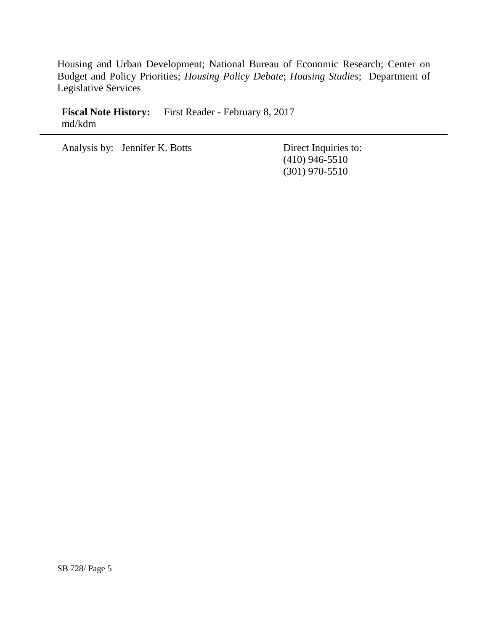Housing and Urban Development; National Bureau of Economic Research; Center on Budget and Policy Priorities; *Housing Policy Debate*; *Housing Studies*; Department of Legislative Services

Fiscal Note History: First Reader - February 8, 2017 md/kdm

Analysis by: Jennifer K. Botts Direct Inquiries to:

(410) 946-5510 (301) 970-5510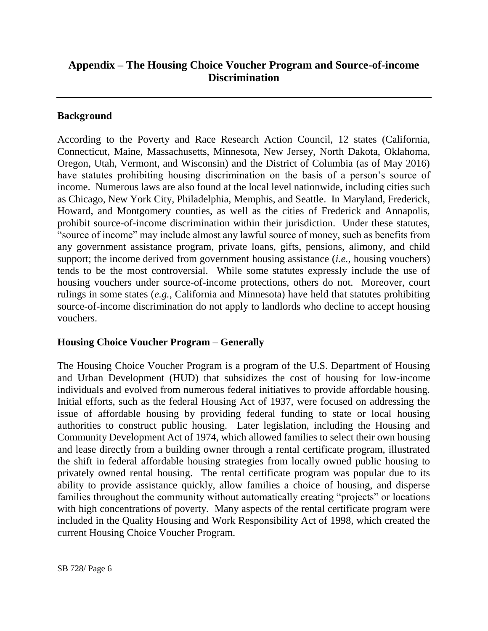# **Appendix – The Housing Choice Voucher Program and Source-of-income Discrimination**

### **Background**

According to the Poverty and Race Research Action Council, 12 states (California, Connecticut, Maine, Massachusetts, Minnesota, New Jersey, North Dakota, Oklahoma, Oregon, Utah, Vermont, and Wisconsin) and the District of Columbia (as of May 2016) have statutes prohibiting housing discrimination on the basis of a person's source of income. Numerous laws are also found at the local level nationwide, including cities such as Chicago, New York City, Philadelphia, Memphis, and Seattle. In Maryland, Frederick, Howard, and Montgomery counties, as well as the cities of Frederick and Annapolis, prohibit source-of-income discrimination within their jurisdiction. Under these statutes, "source of income" may include almost any lawful source of money, such as benefits from any government assistance program, private loans, gifts, pensions, alimony, and child support; the income derived from government housing assistance (*i.e.*, housing vouchers) tends to be the most controversial. While some statutes expressly include the use of housing vouchers under source-of-income protections, others do not. Moreover, court rulings in some states (*e.g.*, California and Minnesota) have held that statutes prohibiting source-of-income discrimination do not apply to landlords who decline to accept housing vouchers.

## **Housing Choice Voucher Program – Generally**

The Housing Choice Voucher Program is a program of the U.S. Department of Housing and Urban Development (HUD) that subsidizes the cost of housing for low-income individuals and evolved from numerous federal initiatives to provide affordable housing. Initial efforts, such as the federal Housing Act of 1937, were focused on addressing the issue of affordable housing by providing federal funding to state or local housing authorities to construct public housing. Later legislation, including the Housing and Community Development Act of 1974, which allowed families to select their own housing and lease directly from a building owner through a rental certificate program, illustrated the shift in federal affordable housing strategies from locally owned public housing to privately owned rental housing. The rental certificate program was popular due to its ability to provide assistance quickly, allow families a choice of housing, and disperse families throughout the community without automatically creating "projects" or locations with high concentrations of poverty. Many aspects of the rental certificate program were included in the Quality Housing and Work Responsibility Act of 1998, which created the current Housing Choice Voucher Program.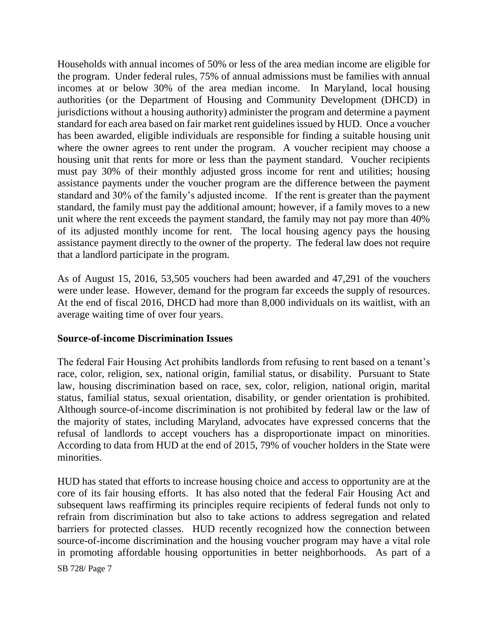Households with annual incomes of 50% or less of the area median income are eligible for the program. Under federal rules, 75% of annual admissions must be families with annual incomes at or below 30% of the area median income. In Maryland, local housing authorities (or the Department of Housing and Community Development (DHCD) in jurisdictions without a housing authority) administer the program and determine a payment standard for each area based on fair market rent guidelines issued by HUD. Once a voucher has been awarded, eligible individuals are responsible for finding a suitable housing unit where the owner agrees to rent under the program. A voucher recipient may choose a housing unit that rents for more or less than the payment standard. Voucher recipients must pay 30% of their monthly adjusted gross income for rent and utilities; housing assistance payments under the voucher program are the difference between the payment standard and 30% of the family's adjusted income. If the rent is greater than the payment standard, the family must pay the additional amount; however, if a family moves to a new unit where the rent exceeds the payment standard, the family may not pay more than 40% of its adjusted monthly income for rent. The local housing agency pays the housing assistance payment directly to the owner of the property. The federal law does not require that a landlord participate in the program.

As of August 15, 2016, 53,505 vouchers had been awarded and 47,291 of the vouchers were under lease. However, demand for the program far exceeds the supply of resources. At the end of fiscal 2016, DHCD had more than 8,000 individuals on its waitlist, with an average waiting time of over four years.

### **Source-of-income Discrimination Issues**

The federal Fair Housing Act prohibits landlords from refusing to rent based on a tenant's race, color, religion, sex, national origin, familial status, or disability. Pursuant to State law, housing discrimination based on race, sex, color, religion, national origin, marital status, familial status, sexual orientation, disability, or gender orientation is prohibited. Although source-of-income discrimination is not prohibited by federal law or the law of the majority of states, including Maryland, advocates have expressed concerns that the refusal of landlords to accept vouchers has a disproportionate impact on minorities. According to data from HUD at the end of 2015, 79% of voucher holders in the State were minorities.

HUD has stated that efforts to increase housing choice and access to opportunity are at the core of its fair housing efforts. It has also noted that the federal Fair Housing Act and subsequent laws reaffirming its principles require recipients of federal funds not only to refrain from discrimination but also to take actions to address segregation and related barriers for protected classes. HUD recently recognized how the connection between source-of-income discrimination and the housing voucher program may have a vital role in promoting affordable housing opportunities in better neighborhoods. As part of a

SB 728/ Page 7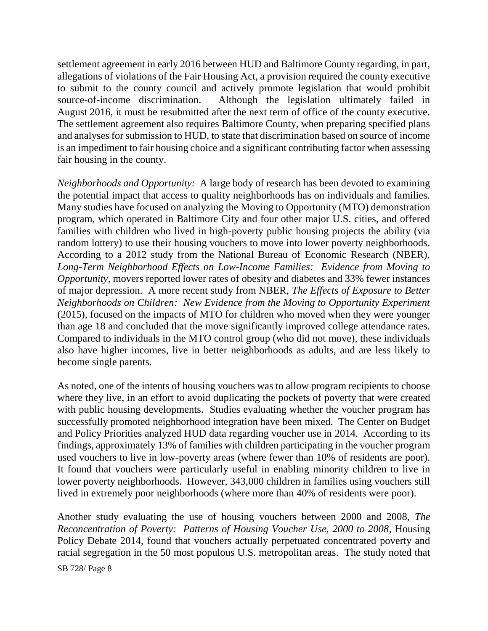settlement agreement in early 2016 between HUD and Baltimore County regarding, in part, allegations of violations of the Fair Housing Act, a provision required the county executive to submit to the county council and actively promote legislation that would prohibit source-of-income discrimination. Although the legislation ultimately failed in August 2016, it must be resubmitted after the next term of office of the county executive. The settlement agreement also requires Baltimore County, when preparing specified plans and analyses for submission to HUD, to state that discrimination based on source of income is an impediment to fair housing choice and a significant contributing factor when assessing fair housing in the county.

*Neighborhoods and Opportunity:* A large body of research has been devoted to examining the potential impact that access to quality neighborhoods has on individuals and families. Many studies have focused on analyzing the Moving to Opportunity (MTO) demonstration program, which operated in Baltimore City and four other major U.S. cities, and offered families with children who lived in high-poverty public housing projects the ability (via random lottery) to use their housing vouchers to move into lower poverty neighborhoods. According to a 2012 study from the National Bureau of Economic Research (NBER), *Long-Term Neighborhood Effects on Low-Income Families: Evidence from Moving to Opportunity*, movers reported lower rates of obesity and diabetes and 33% fewer instances of major depression. A more recent study from NBER, *The Effects of Exposure to Better Neighborhoods on Children: New Evidence from the Moving to Opportunity Experiment* (2015), focused on the impacts of MTO for children who moved when they were younger than age 18 and concluded that the move significantly improved college attendance rates. Compared to individuals in the MTO control group (who did not move), these individuals also have higher incomes, live in better neighborhoods as adults, and are less likely to become single parents.

As noted, one of the intents of housing vouchers was to allow program recipients to choose where they live, in an effort to avoid duplicating the pockets of poverty that were created with public housing developments. Studies evaluating whether the voucher program has successfully promoted neighborhood integration have been mixed. The Center on Budget and Policy Priorities analyzed HUD data regarding voucher use in 2014. According to its findings, approximately 13% of families with children participating in the voucher program used vouchers to live in low-poverty areas (where fewer than 10% of residents are poor). It found that vouchers were particularly useful in enabling minority children to live in lower poverty neighborhoods. However, 343,000 children in families using vouchers still lived in extremely poor neighborhoods (where more than 40% of residents were poor).

Another study evaluating the use of housing vouchers between 2000 and 2008, *The Reconcentration of Poverty: Patterns of Housing Voucher Use, 2000 to 2008*, Housing Policy Debate 2014, found that vouchers actually perpetuated concentrated poverty and racial segregation in the 50 most populous U.S. metropolitan areas. The study noted that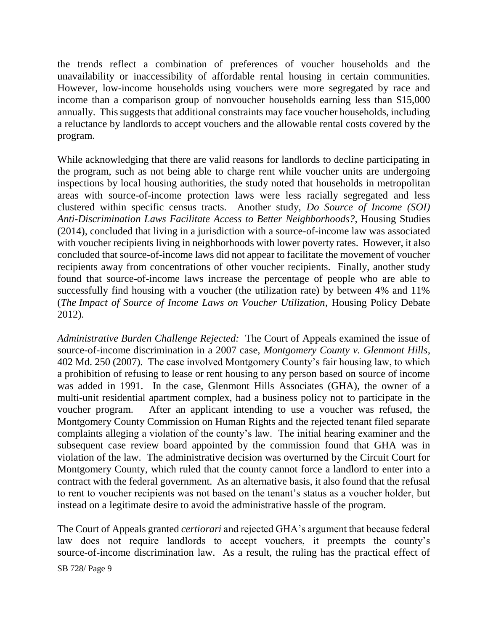the trends reflect a combination of preferences of voucher households and the unavailability or inaccessibility of affordable rental housing in certain communities. However, low-income households using vouchers were more segregated by race and income than a comparison group of nonvoucher households earning less than \$15,000 annually. This suggests that additional constraints may face voucher households, including a reluctance by landlords to accept vouchers and the allowable rental costs covered by the program.

While acknowledging that there are valid reasons for landlords to decline participating in the program, such as not being able to charge rent while voucher units are undergoing inspections by local housing authorities, the study noted that households in metropolitan areas with source-of-income protection laws were less racially segregated and less clustered within specific census tracts. Another study, *Do Source of Income (SOI) Anti-Discrimination Laws Facilitate Access to Better Neighborhoods?*, Housing Studies (2014), concluded that living in a jurisdiction with a source-of-income law was associated with voucher recipients living in neighborhoods with lower poverty rates. However, it also concluded that source-of-income laws did not appear to facilitate the movement of voucher recipients away from concentrations of other voucher recipients. Finally, another study found that source-of-income laws increase the percentage of people who are able to successfully find housing with a voucher (the utilization rate) by between 4% and 11% (*The Impact of Source of Income Laws on Voucher Utilization*, Housing Policy Debate 2012).

*Administrative Burden Challenge Rejected:* The Court of Appeals examined the issue of source-of-income discrimination in a 2007 case, *Montgomery County v. Glenmont Hills*, 402 Md. 250 (2007). The case involved Montgomery County's fair housing law, to which a prohibition of refusing to lease or rent housing to any person based on source of income was added in 1991. In the case, Glenmont Hills Associates (GHA), the owner of a multi-unit residential apartment complex, had a business policy not to participate in the voucher program. After an applicant intending to use a voucher was refused, the Montgomery County Commission on Human Rights and the rejected tenant filed separate complaints alleging a violation of the county's law. The initial hearing examiner and the subsequent case review board appointed by the commission found that GHA was in violation of the law. The administrative decision was overturned by the Circuit Court for Montgomery County, which ruled that the county cannot force a landlord to enter into a contract with the federal government. As an alternative basis, it also found that the refusal to rent to voucher recipients was not based on the tenant's status as a voucher holder, but instead on a legitimate desire to avoid the administrative hassle of the program.

The Court of Appeals granted *certiorari* and rejected GHA's argument that because federal law does not require landlords to accept vouchers, it preempts the county's source-of-income discrimination law. As a result, the ruling has the practical effect of